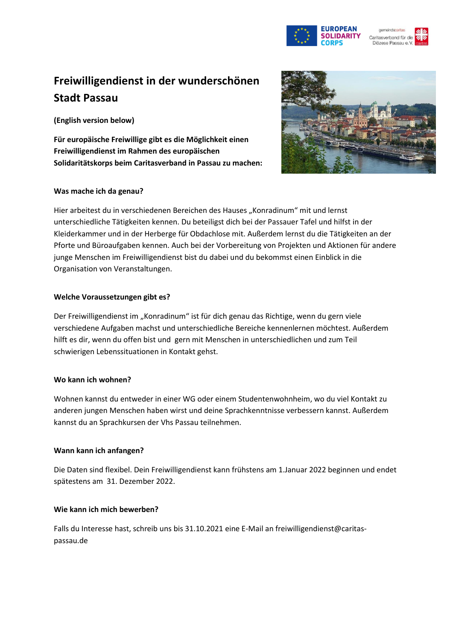

# **Freiwilligendienst in der wunderschönen Stadt Passau**

**(English version below)**

**Für europäische Freiwillige gibt es die Möglichkeit einen Freiwilligendienst im Rahmen des europäischen Solidaritätskorps beim Caritasverband in Passau zu machen:**

### **Was mache ich da genau?**



Hier arbeitest du in verschiedenen Bereichen des Hauses "Konradinum" mit und lernst unterschiedliche Tätigkeiten kennen. Du beteiligst dich bei der Passauer Tafel und hilfst in der Kleiderkammer und in der Herberge für Obdachlose mit. Außerdem lernst du die Tätigkeiten an der Pforte und Büroaufgaben kennen. Auch bei der Vorbereitung von Projekten und Aktionen für andere junge Menschen im Freiwilligendienst bist du dabei und du bekommst einen Einblick in die Organisation von Veranstaltungen.

### **Welche Voraussetzungen gibt es?**

Der Freiwilligendienst im "Konradinum" ist für dich genau das Richtige, wenn du gern viele verschiedene Aufgaben machst und unterschiedliche Bereiche kennenlernen möchtest. Außerdem hilft es dir, wenn du offen bist und gern mit Menschen in unterschiedlichen und zum Teil schwierigen Lebenssituationen in Kontakt gehst.

### **Wo kann ich wohnen?**

Wohnen kannst du entweder in einer WG oder einem Studentenwohnheim, wo du viel Kontakt zu anderen jungen Menschen haben wirst und deine Sprachkenntnisse verbessern kannst. Außerdem kannst du an Sprachkursen der Vhs Passau teilnehmen.

### **Wann kann ich anfangen?**

Die Daten sind flexibel. Dein Freiwilligendienst kann frühstens am 1.Januar 2022 beginnen und endet spätestens am 31. Dezember 2022.

### **Wie kann ich mich bewerben?**

Falls du Interesse hast, schreib uns bis 31.10.2021 eine E-Mail an freiwilligendienst@caritaspassau.de